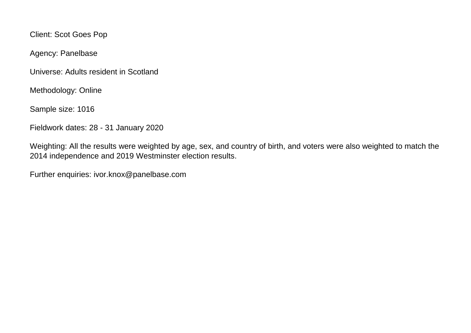Client: Scot Goes Pop

Agency: Panelbase

Universe: Adults resident in Scotland

Methodology: Online

Sample size: 1016

Fieldwork dates: 28 - 31 January 2020

Weighting: All the results were weighted by age, sex, and country of birth, and voters were also weighted to match the 2014 independence and 2019 Westminster election results.

Further enquiries: ivor.knox@panelbase.com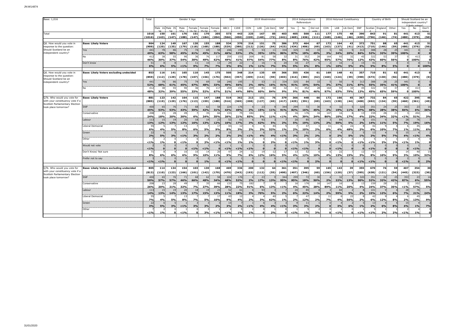| Base: 1,016                                                                                        |                                                | Total                  |                    |                 |              | Gender X Age   |              |                       |              | SEG                  |              | 2019 Westminster |                     |                        |              | 2014 Independence<br>Referendum |                       | 2016 Holyrood Constituency |              |              |                       |                      | Country of Birth |                       | Should Scotland be an<br>independent country? |                       |                     |
|----------------------------------------------------------------------------------------------------|------------------------------------------------|------------------------|--------------------|-----------------|--------------|----------------|--------------|-----------------------|--------------|----------------------|--------------|------------------|---------------------|------------------------|--------------|---------------------------------|-----------------------|----------------------------|--------------|--------------|-----------------------|----------------------|------------------|-----------------------|-----------------------------------------------|-----------------------|---------------------|
|                                                                                                    |                                                |                        |                    | Male 16 Male 35 | Male<br>cc   | Female<br>6.24 | Female       | Female<br><b>CC</b>   | ABC1         | C <sub>2</sub> DE    | CON          | LAB              | Lib Dem             | SNP                    | Yes          | No                              | Did not               | CON                        | LAB          | Lib Dem      | SNP                   | Scotlan              | England          | Other                 | Yes                                           | No                    | Don't               |
| Total                                                                                              |                                                | 1016<br>(1016)         | 150<br>(143)       | 161<br>(147)    | 176<br>(188) | 151<br>(147)   | 170<br>(184) | 205<br>(204)          | 573<br>(566) | 443<br>(450)         | 225<br>(220) | 167<br>(140)     | 85<br>(72)          | 403<br>(441)           | 405<br>(469) | 500<br>(436)                    | 111<br>(111)          | 177<br>(168)               | 175<br>(146) | 48<br>(46)   | 390<br>(430)          | 843<br>(796)         | 91<br>(146)      | 81<br>(74)            | 441<br>(480)                                  | 413<br>(379)          | 51<br>(50)          |
| Q6. How would you vote in<br>response to the question:                                             | <b>Base: Likely Voters</b>                     | 904<br>(909)           | 124<br>(120)       | 149<br>(135)    | 167<br>(179) | 120<br>(118)   | 155<br>(168) | 188<br>(188)          | 534<br>(529) | 370<br>(380)         | 216<br>(212) | 151<br>(126)     | 75<br>(64)          | 386<br>(423)           | 373<br>(434) | 464<br>(406)                    | 67<br>(69)            | 172<br>(163)               | 164<br>(137) | 43<br>(41)   | 372<br>(413)          | 751<br>(710)         | 88<br>(140)      | 65<br>(59)            | 441<br>(480)                                  | 413<br>(379)          | 51<br>(50)          |
| Should Scotland be an<br>independent country?                                                      | res i                                          | 44.<br>49%             | 63%                | 86<br>58%       | 45%          | 61%            | 69<br>45%    | 31%                   | 246<br>46%   | 195<br>53%           | 2%           | 53<br>35%        | 11<br>15%           | 33 <sup>2</sup><br>86% | 325<br>87%   | 84<br>18%                       | 49%                   | 3%                         | 56<br>34%    | 20%          | 31<br>84%             | 388<br>52%           | 32%              | 2 <sup>t</sup><br>39% | 441<br>100%                                   | $\Omega$              |                     |
|                                                                                                    |                                                | 41<br>46%              | 30%                | 55<br>37%       | 54%          | 30%            | 49%          | 11<br>62%             | 259<br>49%   | 153<br>41%           | 209<br>97%   | 81<br>54%        | 58<br>77%           | 3<br>8%                | 8%           | 352<br>76%                      | 42%                   | 164<br>95%                 | 93<br>57%    | 32<br>76%    | $\mathbf{A}$<br>12%   | 322<br>43%           | 60%              | 56%                   | 0.                                            | 413<br>100%           |                     |
|                                                                                                    | Don't know                                     | 51<br>6%               | 6%                 | 5%              | < 1%         | 11<br>9%       | 10<br>7%     | 13<br>7%              | 29<br>5%     | $\overline{2}$<br>6% | 1%           | 16<br>11%        | 7%                  | $\overline{2}$<br>5%   | 18<br>5%     | 27<br>6%                        | 8%                    | 1%                         | 16<br>10%    | 5%           | 15<br>4%              | 41<br>5%             | 8%               | 5%                    | $\sqrt{2}$                                    |                       | 51<br>100%          |
| Q6. How would you vote in<br>response to the question:                                             | <b>Base: Likely Voters excluding undecided</b> | 853<br>(859            | 116<br>(112)       | 141<br>(129)    | 165<br>(178) | 110<br>(107)   | 145<br>(156) | 175<br>(176)          | 505<br>(502) | 348<br>(357)         | 214<br>(209) | 135<br>(112)     | 69<br>(59)          | 366<br>(403)           | 355<br>(414) | 436<br>(383)                    | 61<br>(62)            | 169<br>(160)               | 148<br>(124) | 41<br>(39)   | 357<br>(398)          | 710<br>(673)         | 81<br>(130)      | 62<br>(56)            | 441<br>(480)                                  | 413<br>(379)          | $\mathbf{0}$<br>(0) |
| Should Scotland be an<br>independent country?                                                      | Yes                                            | 44<br>52%              | 68%                | 86<br>61%       | 75<br>45%    | 67%            | 69<br>48%    | 33%                   | 246<br>49%   | 195<br>56%           | 2%           | 53<br>40%        | 11<br>16%           | 334<br>91%             | 325<br>91%   | 84<br>19%                       | 33<br>54%             |                            | 56<br>37%    | 21%          | 313<br>87%            | 388<br><b>55%</b>    | 28<br>35%        | 25<br>41%             | 441<br>100%                                   |                       |                     |
|                                                                                                    | No                                             | 41<br>48%              | 38<br>32%          | 55<br>39%       | 90<br>55%    | 36<br>33%      | -76<br>52%   | 117<br>67%            | 259<br>51%   | 153<br>44%           | 209<br>98%   | 81<br>60%        | 58<br>84%           | - 32<br>9%             | 31<br>9%     | 352<br>81%                      | $\mathcal{D}$<br>46%  | 164<br>97%                 | 93<br>63%    | 32<br>79%    | $\overline{a}$<br>13% | 322<br>45%           | 53<br>65%        | 59%                   |                                               | 413<br>100%           |                     |
| Q7b. Who would you vote for<br>with your constituency vote if a<br>Scottish Parliamentary Election | <b>Base: Likely Voters</b>                     | 881<br>(885)           | 123<br>(119)       | 142<br>(129)    | 164<br>(176) | 115<br>(113)   | 147<br>(159) | 188<br>(188)          | 519<br>(516) | 362<br>(369)         | 213<br>(208) | 151<br>(127)     | 76<br>(65)          | 379<br>(417)           | 366<br>(425) | 448<br>(391)                    | 66<br>(69)            | 172<br>(163)               | 166<br>(138) | 45<br>(44)   | 367<br>(408)          | 732<br>(692)         | 84<br>(134)      | 65<br>(59)            | 422<br>(460)                                  | 395<br>(361)          | 46<br>(45)          |
| took place tomorrow?                                                                               | <b>SNP</b>                                     | 400<br>45%             | 65<br>53%          | 76<br>53%       | 71<br>43%    | 59%            | 62<br>42%    | 31%                   | 224<br>43%   | 176<br>49%           | 2%           | 23<br>15%        | 11%                 | 344<br>91%             | 299<br>82%   | 72<br>16%                       | 30<br>45%             | 2%                         | 32<br>19%    | 11%          | 320<br>87%            | 351<br>48%           | 24<br>28%        | 25<br>38%             | 353<br>84%                                    | 23 <sup>1</sup><br>6% | 16<br>36%           |
|                                                                                                    | Conservative                                   | 20<br>24%              | $2^{\circ}$<br>18% | 28<br>20%       | 30%          | 6%             | 24%          | 35%                   | 133<br>26%   | 21%                  | 182<br>85%   | 5%               | 11%                 | 1%                     | 4%           | 176<br>39%                      | 24%                   | 147<br>86%                 | 10%          | 17%          | 4%                    | 159<br>22%           | 34%              | 32%                   | < 1%                                          | 202<br>51%            | 3%                  |
|                                                                                                    | Labour                                         | 11<br>13%              | 15<br>2%           | 19<br>13%       | 20<br>12%    | 18<br>16%      | 13%          | 12%                   | 52<br>10%    | $-6^{\circ}$<br>17%  | 3%           | 93<br>62%        | 5%                  | 2%                     | 20<br>50/6   | 85<br>19%                       |                       |                            | 84           | 5%           |                       | 101<br>14%           | 11%              |                       | 28<br>70 <sub>0</sub>                         | 76<br>19%             | 16%                 |
|                                                                                                    | Liberal Democrat                               | 55<br>6%               | 4%                 | 5%              | 13<br>8%     | 6%             | 5%           | 9%                    | 43<br>8%     | $\overline{1}$<br>3% | 2%           | 2%               | $40^{\circ}$<br>52% | 1%                     | 2%           | 47<br>10%                       | 2%                    | 11<br>6%                   | 4%           | 22<br>48%    | 2%                    | $\mathbf{A}$<br>6%   | 10%              | 7%                    | 1%                                            | 4 <sup>5</sup><br>11% | 6%                  |
|                                                                                                    | Green                                          | -22<br>2%              | 5%                 | 3%              | $< 1\%$      | 3%             | 2%           | 2%                    | 15<br>3%     | 2%                   | $< 1\%$      | 4%               | 4%                  | < 1%                   | 3%           | 2%                              | 2%                    |                            | 2%           | 5%           | 1%                    | $\overline{1}$<br>2% | 5%               | 70                    | 15<br>4%                                      | $< 1\%$               | 4%                  |
|                                                                                                    | Other                                          | 19                     | 1%                 | $\Omega$        | $< 1\%$      |                | 2%           | < 1%                  | $< 1\%$      | 1%                   | 1%           |                  | 2%                  |                        | $< 1\%$      | 1%                              | 3%                    |                            | $< 1\%$      | $\mathbf 0$  | 1%                    | $< 1\%$              | 2%               |                       | $< 1\%$                                       | 1%                    |                     |
|                                                                                                    | Would not vote                                 | 19                     | $\mathbf{0}$       |                 |              |                | 1%           |                       |              |                      | < 1%         |                  |                     |                        | < 1%         | < 1%                            |                       |                            | $< 1\%$      |              |                       | 1%                   |                  |                       |                                               |                       |                     |
|                                                                                                    | Don't Know/ Not sure                           | 71<br>8%               | $\mathbf{R}$<br>6% | 6%              | 10<br>6%     | 10<br>9%       | 14<br>10%    | $\overline{2}$<br>11% | 47<br>9%     | $\mathcal{D}$<br>7%  | 12<br>6%     | 19<br>12%        | 12<br>16%           | $\pm$<br>5%            | 13<br>4%     | 52<br>12%                       | 10%                   | 4%                         | 22<br>13%    | 15%          | 3%                    | -57<br>8%            | 10%              | 9%                    | 14<br>3%                                      | 40<br>10%             | 32%                 |
|                                                                                                    | Prefer not to say                              | < 1%                   | $< 1\%$            | $\Omega$        | $\Omega$     |                | 1%           |                       | $< 1\%$      | < 1%                 | $\Omega$     | $\Omega$         |                     | < 1%                   | < 1%         |                                 | 2%                    |                            | n.           | $\Omega$     | < 1%                  | $< 1\%$              | $\Omega$         |                       | $< 1\%$                                       | n.                    | 2%                  |
| Q7b. Who would you vote for<br>with your constituency vote if a                                    | Base: Likely Voters excluding undecided        | 805<br>(813)           | 114<br>(110)       | 134<br>(123)    | 154<br>(166) | 103<br>(101)   | 130<br>(142) | 168<br>(170)          | 469<br>(470) | 336<br>(343)         | 200<br>(193) | 132<br>(112)     | 64<br>(55)          | 361<br>(400)           | 351<br>(407) | 395<br>(346)                    | 59<br>(60)            | 165<br>(156)               | 143<br>(120) | 39<br>(37)   | 355<br>(395)          | 670<br>(638)         | 76<br>(121)      | 59<br>(54)            | 407<br>(445)                                  | 354<br>(323)          | 30<br>(30)          |
| Scottish Parliamentary Election<br>took place tomorrow?                                            | <b>SNP</b>                                     | 400<br>50%             | 65<br>57%          | 76<br>57%       | 71<br>46%    | 66%            | 62<br>48%    | 58<br>34%             | 224<br>48%   | 176<br>52%           | 2%           | 23<br>17%        | 13%                 | 34 <sub>4</sub><br>95% | 299<br>85%   | 72<br>18%                       | $\overline{3}$<br>50% | 2%                         | 32<br>22%    | 13%          | 320<br>90%            | 351<br>52%           | 24<br>32%        | 25<br>42%             | 353<br>87%                                    | 23<br>6%              | 16<br>55%           |
|                                                                                                    | Conservative                                   | 20<br>26%              | 23<br>20%          | 28<br>21%       | 49<br>32%    | 7%             | 35<br>27%    | 61<br>39%             | 133<br>28%   | 22%                  | 182<br>91%   | 6%               | 13%                 | < 1%                   | 16<br>4%     | 176<br>45%                      | 28%                   | 147<br>89%                 | 16<br>11%    | 20%          | 4%                    | 159<br>24%           | 28<br>37%        | 35%                   | < 1%                                          | 202<br>57%            | 5%                  |
|                                                                                                    | Labour                                         | 11 <sup>2</sup><br>14% | 15<br>13%          | 19<br>14%       | 20<br>13%    | 18<br>17%      | 19<br>15%    | 13%                   | 52<br>11%    | <b>6</b><br>18%      | 3%           | 93<br>70%        | 5%                  | 2%                     | 20<br>6%     | 85<br>22%                       | 14%                   | 2%                         | 84<br>59%    | 5%           | 2%                    | 101<br>15%           | 12%              | 6%                    | 28<br>7%                                      | 76<br>21%             | 24%                 |
|                                                                                                    | Liberal Democrat                               | -55<br>7%              | 4%                 | 5%              | 13<br>8%     | 7%             | 5%           | $\overline{1}$<br>10% | 43<br>9%     | 1.<br>4%             | 2%           | 3%               | 40<br>62%           | 1%                     | 2%           | 4 <sup>7</sup><br>12%           | 2%                    | 11<br>7%                   | 4%           | 22<br>56%    | 2%                    | $\overline{4}$<br>6% | 12%              | 8%                    | 2%                                            | 13%                   | 9%                  |
|                                                                                                    | Green<br>Other                                 | 2 <sup>2</sup><br>3%   | 50%                |                 |              | 3%             | 3%           | 2 <sup>0</sup>        | 15<br>3%     | 2%                   | $< 1\%$      | 4%               | 4%                  | 19/                    | 3%           | 11<br>3%                        |                       |                            | 3%           | 6%           |                       | $\overline{1}$<br>2% | 6%               |                       | 15 <sub>1</sub><br>4%                         | 19/6                  | 7%                  |
|                                                                                                    |                                                | < 1%                   | 1%                 |                 | $< 1\%$      |                | 3%           | $< 1\%$               | $< 1\%$      | 1%                   | 1%           |                  | 2%                  |                        | $< 1\%$      | 1%                              | 3%                    |                            | $< 1\%$      | $\mathbf{a}$ | < 1%                  | 1%                   | 2%               | 2%                    | $< 1\%$                                       | 1%                    |                     |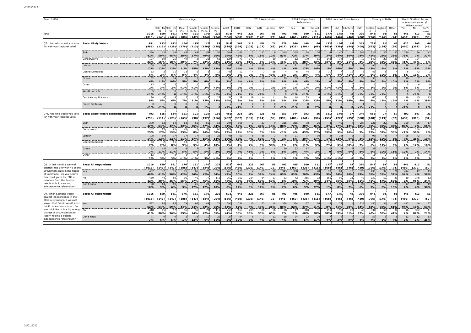| Base: 1,016                                                                                 |                                                | Total                      |                              |                  |                           | Gender X Age     |                               |                       |                   | <b>SEG</b>          |                      | 2019 Westminster  |                 |                                 |                   | 2014 Independence<br>Referendum |                       |              | 2016 Holyrood Constituency |                 |                              |                      | Country of Birth |                       | Should Scotland be an<br>independent country? |                 |                  |  |
|---------------------------------------------------------------------------------------------|------------------------------------------------|----------------------------|------------------------------|------------------|---------------------------|------------------|-------------------------------|-----------------------|-------------------|---------------------|----------------------|-------------------|-----------------|---------------------------------|-------------------|---------------------------------|-----------------------|--------------|----------------------------|-----------------|------------------------------|----------------------|------------------|-----------------------|-----------------------------------------------|-----------------|------------------|--|
|                                                                                             |                                                |                            |                              | Male 16 Male 35  | Male                      | Female           | Female                        | Female                | ABC1              | C <sub>2</sub> DE   | CON                  | LAB               | Lib Dem         | SNP                             | Yes               | No                              | Did not               | CON          | LAB                        | Lib Dem         | SNP                          |                      | Scotlan England  | Other                 | Yes                                           | No              | Don't            |  |
| Total                                                                                       |                                                | 1016<br>(1016)             | 150<br>(143)                 | 161<br>(147)     | <b>CC</b><br>176<br>(188) | 151<br>(147)     | 170<br>(184)                  | F.C<br>205<br>(204)   | 573<br>(566)      | 443<br>(450)        | 225<br>(220)         | 167<br>(140)      | 85<br>(72)      | 403<br>(441)                    | 405<br>(469)      | 500<br>(436)                    | 111<br>(111)          | 177<br>(168) | 175<br>(146)               | 48<br>(46)      | 390<br>(430)                 | 843<br>(796)         | 91<br>(146)      | 81<br>(74)            | 441<br>(480)                                  | 413<br>(379)    | 51<br>(50)       |  |
| Q7c. And who would you vote<br>for with your regional vote?                                 | <b>Base: Likely Voters</b>                     | 881<br>(885)               | 123<br>(119)                 | 142<br>(129)     | 164<br>(176)              | 115<br>(113)     | 147<br>(159)                  | 188<br>(188)          | 519<br>(516)      | 362<br>(369)        | 213<br>(208)         | 151<br>(127)      | 76<br>(65)      | 379<br>(417)                    | 366<br>(425)      | 448<br>(391)                    | 66<br>(69)            | 172<br>(163) | 166<br>(138)               | 45<br>(44)      | 367<br>(408)                 | 732<br>(692)         | 84<br>(134)      | 65<br>(59)            | 422<br>(460)                                  | 395<br>(361)    | 46<br>(45)       |  |
|                                                                                             | SNP                                            | 370<br>42%                 | -62<br>50%                   | 64<br>45%        | 63<br>38%                 | 65<br>57%        | -59<br>40%                    | <u>30°</u>            | 204<br>39%        | 166<br>46%          |                      | -27<br><u>18%</u> | <b>2%</b>       | 31<br>83%                       | 265<br>72%        |                                 | 39%                   |              | 40<br>24%                  |                 | 287<br>78%                   | 326<br>45%           | 22<br>26%        | $\mathcal{D}$         | 320<br>76%                                    | 26<br>7%        | 17<br>37%        |  |
|                                                                                             | Conservative                                   | 197<br>22%                 | 1 <sup>1</sup><br><b>16%</b> | 25<br>18%        | 4 <sup>c</sup><br>30%     | 7%               | -33<br>22%                    | 33%                   | 124<br>24%        |                     | 172                  |                   | 10<br>13%       | 51%                             | $1^{\circ}$<br>3% | 170<br>38%                      | 23%                   | 143<br>83%   | 14<br>8%                   | 10<br>21%       | 1 <sup>1</sup><br>3%         | 149<br>20%           | -27<br>32%       | 32%                   |                                               | 194<br>49%      | 1%               |  |
|                                                                                             | Labour                                         | 108<br>12%                 | 14<br>12%                    | 17<br>12%        | 17<br>11%                 | 17<br>15%        | 13%                           | 12%                   | 48<br>9%          | 16%                 | 4%                   | 85<br>56%         | 4%              | 1%                              | 21<br>6%          | 17%                             | 14%                   | 1%           | 76<br>46%                  | 5%              | 3%                           | 13%                  | 9%               | 5%                    | 28<br>7%                                      | 72<br>18%       | 13%              |  |
|                                                                                             | Liberal Democrat                               | -53<br>6%                  | 2%                           | 11<br>8%         | -13<br>8%                 | 4%               | 4%                            | 9%                    | 41<br>8%          | 3%                  | 2%                   | 40 <sub>0</sub>   | 38<br>49%       | 1%                              | 2%                | 10%                             | 40/                   | -11<br>6%    | 4%                         | 19<br>41%       | 2%                           | 4 <sup>1</sup><br>6% | 10%              | 6%                    | 1%<br>40                                      | 43<br>11%       | 7%               |  |
|                                                                                             | Green<br>Other                                 | 52<br>6%<br>1 <sup>5</sup> | 13                           | 14<br><b>LO%</b> | 5%                        | 5%               | 4%                            |                       | 39<br>7%          | 4%                  | < 1%                 | 10<br>7%          | 5%              | 2 <sup>0</sup><br>8%            | 33<br>9%          | 4%                              |                       |              | 5%                         | 5%              | 29<br>8%                     | 38<br>5%             | 9%               |                       | 9%                                            |                 | 9%               |  |
|                                                                                             | Would not vote                                 | 2%                         |                              | 2%               | $< 1\%$                   | $1\%$            | 2%                            | 519                   |                   | 2%                  | 2%                   |                   | 2%              | 1%                              | 1%                |                                 | 3%                    | < 1%         | $1\%$                      |                 | 2%                           | 1%                   | 2%               |                       | 0/2                                           | 1%              |                  |  |
|                                                                                             | Don't Know/ Not sure                           | < 1%<br>8 <sub>l</sub>     | $< 1\%$                      |                  | $< 1\%$<br>12             | < 1%<br>-13      | < 1%<br>1S                    | 19                    | < 1%<br>51        | < 1%                | 1%<br>1 <sup>C</sup> | < 1%<br>14        | $\Omega$<br>11  | 21                              | $< 1\%$<br>18     | $< 1\%$<br>53                   |                       | $< 1\%$      | $< 1\%$<br>19              |                 | < 1%<br>1 <sup>t</sup>       | < 1%<br>63           | < 1%             |                       | 19                                            | < 1%<br>45      | 13               |  |
|                                                                                             | Prefer not to say                              | 9%                         | 5%                           | 6%               | 7%                        | 11%              | 13%                           | 12%                   | 10%               | 8%                  | 9%                   | 9%                | 15%             | 5%                              | <b>5%</b>         | 12%                             | 13%                   | 5%           | 11%                        | 18%             | 4%                           | 9%                   | 11%              | 12%                   | 4%                                            | <b>11%</b>      | 29%              |  |
|                                                                                             |                                                | < 19                       | 219                          |                  |                           |                  | 10                            |                       | < 1%              | $\leq 1$            |                      |                   |                 | 19/                             | < 1%              |                                 | 20/                   |              |                            |                 | < 1%                         | < 1%                 |                  |                       | 19/                                           |                 | 2%               |  |
| Q7c. And who would you vote<br>for with your regional vote?                                 | <b>Base: Likely Voters excluding undecided</b> | 793<br>(799)               | 115<br>(111)                 | 134<br>(123)     | 151<br>(163)              | 101<br>(98)      | 125<br>(137)                  | 166<br>(166)          | 462<br>(462)      | 331<br>(337)        | 192<br>(185)         | 135<br>(114)      | 65<br>(56)      | 359<br>(396)                    | 344<br>(400)      | 393<br>(341)                    | 56<br>(58)            | 161<br>(153) | 146<br>(122)               | 37<br>(35)      | 349<br>(388)                 | 662<br>(628)         | 74<br>(119)      | 57<br>(52)            | 402<br>(438)                                  | 347<br>(316)    | 31<br>(31)       |  |
|                                                                                             | <b>SNP</b>                                     | 370<br>47%                 | 62<br>54%                    | 64<br>47%        | 63<br>42%                 | 6<br>65%         | 5!<br>47%                     | 34%                   | 204<br>44%        | 166<br>50%          |                      | 27<br>20%         | 14%             | 315<br>88%                      | 265<br>77%        | 20%                             | $\overline{2}$<br>46% | 3%           | $\Delta$ r<br>27%          | 12%             | 287<br>82%                   | 326<br>49%           | 22<br>30%        | $\overline{2}$<br>38% | 320<br>80%                                    | 26<br>7%        | 17<br>55%        |  |
|                                                                                             | Conservative                                   | 197<br>25%                 | 19<br>17%                    | 25<br>19%        | 4 <sup>c</sup><br>33%     | 8%               | 26%                           | 38%                   | 124<br>27%        | 22%                 | 172<br>90%           | 5%                | 10<br>16%       | < 1%                            | 4%                | 170<br>43%                      | 27%                   | 143<br>89%   | 14<br>9%                   | 10<br>26%       | 10<br>3%                     | 149<br>23%           | 37%              | 36%                   | < 1%                                          | 194<br>56%      | 2%               |  |
|                                                                                             | Labour                                         | 108<br>14%                 | 14<br>12%                    | 17<br>12%        | 17<br>11%                 | 17<br>17%        | 19<br>15%                     | $\overline{2}$<br>14% | 48<br>10%         | 18%                 | 4%                   | 85<br>63%         | 4%              | 2%                              | 21<br>6%          | 20%                             | 17%                   |              | 76<br>52%                  | 6%              | 3%                           | 15%                  | 10%              | 6%                    | 28<br>7%                                      | 72<br>21%       | 19%              |  |
|                                                                                             | Liberal Democrat                               | -51<br>7%                  |                              | 11               | 13<br>9%                  | 5%               | 4%                            | 10%                   | 41<br>9%          | 4%                  |                      |                   | 38<br>58%       | 1%                              | 2%                | 11%                             |                       | 11<br>7%     |                            | 19<br>50%       | 2%                           | 6%                   | 11%              |                       | 2%                                            | 12%             | 10%              |  |
|                                                                                             | Green<br>Other                                 | 52<br>7%                   | 1 <sup>5</sup><br>11%        | 14<br><b>11%</b> | 5%                        | 5%               | 5%                            | 3%                    | 39<br>8%          | 4%                  | < 1%                 | 10<br>7%          | 6%              | 29<br>8%                        | 33<br>10%         | 17<br>4%                        | 2%                    |              | 6%                         | 6%              | 29<br>8%                     | 6%<br>-11            | 10%              | 11%                   | 10%                                           | 2%              | 14%              |  |
|                                                                                             |                                                | 13<br>2%                   | 3%                           | 3%               | $< 1\%$                   | < 1%             | 3%                            | 19                    | 1%                | 2%                  | 2%                   | $\Omega$          | 2%              | 1%                              | 2%                | 2%                              | 3%                    | < 1%         | $< 1\%$                    | $\bullet$       | 2%                           | 2%                   | 2%               | 2%                    | 10 <sub>o</sub>                               | 2%              |                  |  |
| Q8. In last month's general<br>election, the SNP won 48 of the                              | <b>Base: All respondents</b>                   | 1016<br>(1016)             | 150<br>(143)<br>92           | 161<br>(147)     | 176<br>(188)              | 151<br>(147)     | 170<br>(184)                  | 205<br>(204)          | 573<br>(566)      | 443<br>(450)<br>220 | 225<br>(220)         | 167<br>(140)      | 85<br>(72)      | 403<br>(441)<br>34 <sup>3</sup> | 405<br>(469)      | 500<br>(436)                    | 111<br>(111)          | 177<br>(168) | 175<br>(146)<br>64         | 48<br>(46)      | 390<br>(430)                 | 843<br>(796)         | 91<br>(146)      | 81<br>(74)            | 441<br>(480)                                  | 413<br>(379)    | 51<br>(50)<br>19 |  |
| 59 Scottish seats in the House<br>of Commons. Do you believe<br>this result gives the SNP a | Yes<br>No                                      | 48<br>48%<br>430           | 44                           | 93<br>58%<br>58  | 75<br>42%<br>96           | -85<br>56%<br>40 | $\overline{7}$<br>42%<br>- 77 | 34%<br>115            | 268<br>47%<br>262 | 50%<br>169          | 214                  | 65<br>39%<br>84   | 20<br>24%<br>57 | 85%<br>33                       | 338<br>83%<br>42  | 102<br>20%<br>355               | 43%<br>31             | 5%<br>166    | 36%<br>98                  | 13<br>26%<br>31 | 323<br>83%<br>$\overline{4}$ | 430<br>51%<br>337    | 32<br>35%<br>53  | 26<br>32%<br>41       | 414<br>94%<br>10                              | 17<br>4%<br>378 | 38%<br>12        |  |
| mandate from the Scottish<br>people to hold a second                                        | Don't Know                                     | 42%                        | 30%<br>14                    | 36%<br>10        | 55%                       | 27%<br>26        | 45%<br>21                     | 56%<br>2(             | 46%<br>44         | 38%                 | 95%                  | 50%<br>18         | 67%             | 8%<br>27                        | 10%<br>25         | 71%                             | 30%                   | 94%          | 56%<br>14                  | 66%             | 11%<br>25                    | 40%                  | 57%              | 50%<br>1 <sub>4</sub> | 2%<br>17                                      | 91%<br>18       | 24%<br>19        |  |
| independence referendum?                                                                    |                                                | 10%                        | 9%                           | 6%               | 3%                        | 17%              | 12%                           | 10%                   | 8%                | 12%                 | 3%                   | 11%               | 9%              | 7%                              | 6%                | 9%                              | 27%                   | 1%           | 8%                         | 7%              | 6%                           | 9%                   | 8%               | 18%                   | 4%                                            | 4%              | 38%              |  |
| Q9. When Scotland voted<br>against independence in the<br>2014 referendum, it was not       | <b>Base: All respondents</b>                   | 1016<br>(1016)             | 150<br>(143)                 | 161<br>(147)     | 176<br>(188)              | 151<br>(147)     | 170<br>(184)                  | 205<br>(204)          | 573<br>(566)      | 443<br>(450)        | 225<br>(220)         | 167<br>(140)      | 85<br>(72)      | 403<br>(441)                    | 405<br>(469)      | 500<br>(436)                    | 111<br>(111)          | 177<br>(168) | 175<br>(146)               | 48<br>(46)      | 390<br>(430)                 | 843<br>(796)         | 91<br>(146)      | 81<br>(74)            | 441<br>(480)                                  | 413<br>(379)    | 51<br>(50)       |  |
| known that Britain would leave<br>the EU a few years later. Do                              | Yes                                            | 52<br>52%                  | 96<br>64%                    | 95.<br>59%       | 78<br>14%                 | 64%              | 89<br>52%                     |                       | 296<br>52%        | 23<br>52%           | 10<br>4%             | 72<br>13%         | 18<br>21%       | 358<br>89%                      | 334<br>82%        | 137<br>27%                      | 5<br>51%              | 15           | 1%                         | 14<br>30%       | 327<br>34%                   | 450<br>53%           | 36<br>39%        | $\Delta$              | 413<br>94%                                    | 40<br>0%        | 27<br>53%        |  |
| you think Brexit is a big enough No<br>change of circumstances to                           |                                                | 418<br>41%                 | 45<br>30%                    | 57<br>36%        | 96<br>55%                 | 36<br>24%        | 72<br>42%                     | 11.<br>55%            | 250<br>44%        | 168<br>38%          | 209<br>93%           | 88<br>53%         | 56<br>65%       | $\overline{2}$<br>7%            | 47<br>12%         | 340<br>68%                      | 31<br>28%             | 155<br>88%   | 97<br>55%                  | 29<br>61%       | $\Delta t$<br>12%            | 334<br>40%           | 50<br>55%        | $\mathcal{R}$<br>41%  | 16<br>4%                                      | 362<br>87%      | 11<br>21%        |  |
| justify holding a second<br>independence referendum?                                        | Don't Know                                     | $7^{\circ}$<br>7%          | 6%                           | 5%               | 1%                        | 12%              | 6%                            | 11%                   | 27<br>5%          | 10%                 | 3%                   | 4%                | 12<br>14%       | 4%                              | 24<br>6%          | 23<br>5%                        | $\mathcal{D}$<br>21%  | 4%           | 3%                         | 9%              | 4%                           | 7%                   | 6%               | 7%                    | 12<br>3%                                      | 12<br>3%        | 13<br>26%        |  |